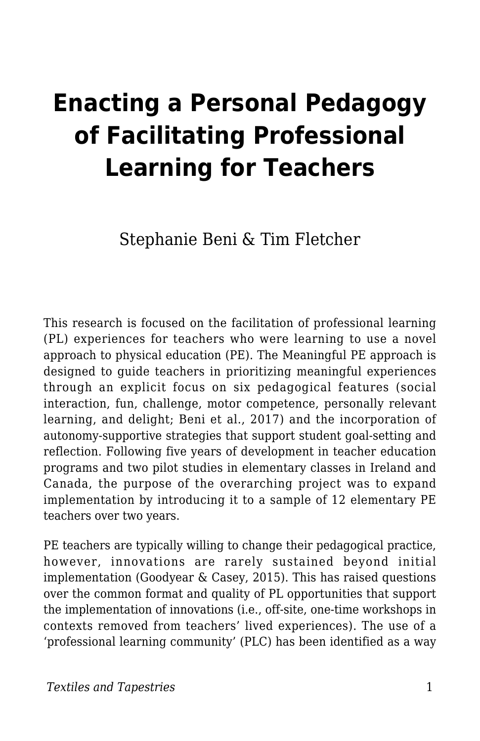# **Enacting a Personal Pedagogy of Facilitating Professional Learning for Teachers**

Stephanie Beni & Tim Fletcher

This research is focused on the facilitation of professional learning (PL) experiences for teachers who were learning to use a novel approach to physical education (PE). The Meaningful PE approach is designed to guide teachers in prioritizing meaningful experiences through an explicit focus on six pedagogical features (social interaction, fun, challenge, motor competence, personally relevant learning, and delight; Beni et al., 2017) and the incorporation of autonomy-supportive strategies that support student goal-setting and reflection. Following five years of development in teacher education programs and two pilot studies in elementary classes in Ireland and Canada, the purpose of the overarching project was to expand implementation by introducing it to a sample of 12 elementary PE teachers over two years.

PE teachers are typically willing to change their pedagogical practice, however, innovations are rarely sustained beyond initial implementation (Goodyear & Casey, 2015). This has raised questions over the common format and quality of PL opportunities that support the implementation of innovations (i.e., off-site, one-time workshops in contexts removed from teachers' lived experiences). The use of a 'professional learning community' (PLC) has been identified as a way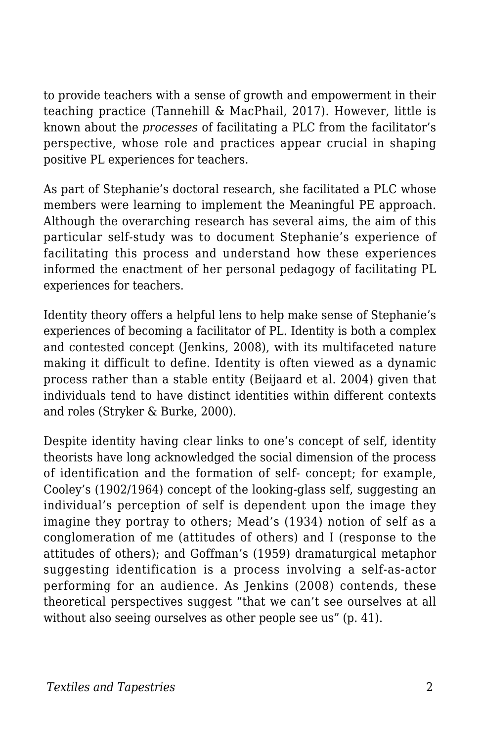to provide teachers with a sense of growth and empowerment in their teaching practice (Tannehill & MacPhail, 2017). However, little is known about the *processes* of facilitating a PLC from the facilitator's perspective, whose role and practices appear crucial in shaping positive PL experiences for teachers.

As part of Stephanie's doctoral research, she facilitated a PLC whose members were learning to implement the Meaningful PE approach. Although the overarching research has several aims, the aim of this particular self-study was to document Stephanie's experience of facilitating this process and understand how these experiences informed the enactment of her personal pedagogy of facilitating PL experiences for teachers.

Identity theory offers a helpful lens to help make sense of Stephanie's experiences of becoming a facilitator of PL. Identity is both a complex and contested concept (Jenkins, 2008), with its multifaceted nature making it difficult to define. Identity is often viewed as a dynamic process rather than a stable entity (Beijaard et al. 2004) given that individuals tend to have distinct identities within different contexts and roles (Stryker & Burke, 2000).

Despite identity having clear links to one's concept of self, identity theorists have long acknowledged the social dimension of the process of identification and the formation of self- concept; for example, Cooley's (1902/1964) concept of the looking-glass self, suggesting an individual's perception of self is dependent upon the image they imagine they portray to others; Mead's (1934) notion of self as a conglomeration of me (attitudes of others) and I (response to the attitudes of others); and Goffman's (1959) dramaturgical metaphor suggesting identification is a process involving a self-as-actor performing for an audience. As Jenkins (2008) contends, these theoretical perspectives suggest "that we can't see ourselves at all without also seeing ourselves as other people see us" (p. 41).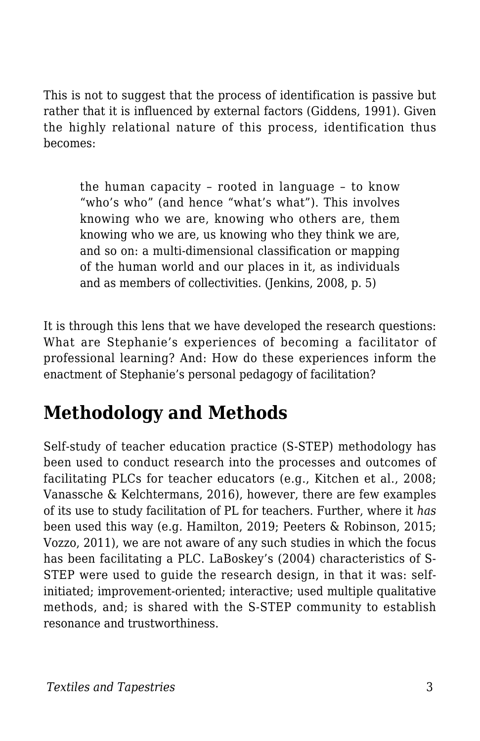This is not to suggest that the process of identification is passive but rather that it is influenced by external factors (Giddens, 1991). Given the highly relational nature of this process, identification thus becomes:

the human capacity – rooted in language – to know "who's who" (and hence "what's what"). This involves knowing who we are, knowing who others are, them knowing who we are, us knowing who they think we are, and so on: a multi-dimensional classification or mapping of the human world and our places in it, as individuals and as members of collectivities. (Jenkins, 2008, p. 5)

It is through this lens that we have developed the research questions: What are Stephanie's experiences of becoming a facilitator of professional learning? And: How do these experiences inform the enactment of Stephanie's personal pedagogy of facilitation?

## **Methodology and Methods**

Self-study of teacher education practice (S-STEP) methodology has been used to conduct research into the processes and outcomes of facilitating PLCs for teacher educators (e.g., Kitchen et al., 2008; Vanassche & Kelchtermans, 2016), however, there are few examples of its use to study facilitation of PL for teachers. Further, where it *has* been used this way (e.g. Hamilton, 2019; Peeters & Robinson, 2015; Vozzo, 2011), we are not aware of any such studies in which the focus has been facilitating a PLC. LaBoskey's (2004) characteristics of S-STEP were used to guide the research design, in that it was: selfinitiated; improvement-oriented; interactive; used multiple qualitative methods, and; is shared with the S-STEP community to establish resonance and trustworthiness.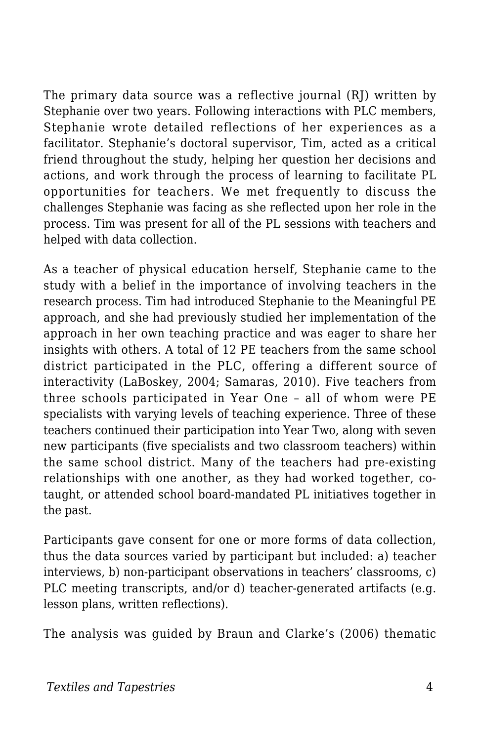The primary data source was a reflective journal (RJ) written by Stephanie over two years. Following interactions with PLC members, Stephanie wrote detailed reflections of her experiences as a facilitator. Stephanie's doctoral supervisor, Tim, acted as a critical friend throughout the study, helping her question her decisions and actions, and work through the process of learning to facilitate PL opportunities for teachers. We met frequently to discuss the challenges Stephanie was facing as she reflected upon her role in the process. Tim was present for all of the PL sessions with teachers and helped with data collection.

As a teacher of physical education herself, Stephanie came to the study with a belief in the importance of involving teachers in the research process. Tim had introduced Stephanie to the Meaningful PE approach, and she had previously studied her implementation of the approach in her own teaching practice and was eager to share her insights with others. A total of 12 PE teachers from the same school district participated in the PLC, offering a different source of interactivity (LaBoskey, 2004; Samaras, 2010). Five teachers from three schools participated in Year One – all of whom were PE specialists with varying levels of teaching experience. Three of these teachers continued their participation into Year Two, along with seven new participants (five specialists and two classroom teachers) within the same school district. Many of the teachers had pre-existing relationships with one another, as they had worked together, cotaught, or attended school board-mandated PL initiatives together in the past.

Participants gave consent for one or more forms of data collection, thus the data sources varied by participant but included: a) teacher interviews, b) non-participant observations in teachers' classrooms, c) PLC meeting transcripts, and/or d) teacher-generated artifacts (e.g. lesson plans, written reflections).

The analysis was guided by Braun and Clarke's (2006) thematic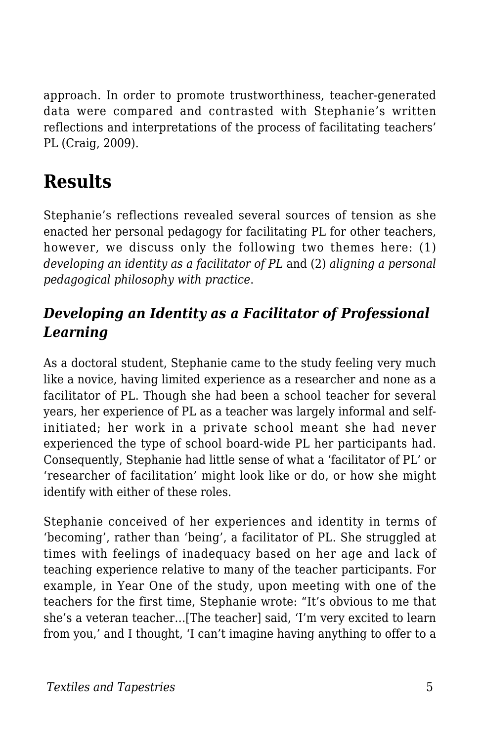approach. In order to promote trustworthiness, teacher-generated data were compared and contrasted with Stephanie's written reflections and interpretations of the process of facilitating teachers' PL (Craig, 2009).

## **Results**

Stephanie's reflections revealed several sources of tension as she enacted her personal pedagogy for facilitating PL for other teachers, however, we discuss only the following two themes here: (1) *developing an identity as a facilitator of PL* and (2) *aligning a personal pedagogical philosophy with practice*.

#### *Developing an Identity as a Facilitator of Professional Learning*

As a doctoral student, Stephanie came to the study feeling very much like a novice, having limited experience as a researcher and none as a facilitator of PL. Though she had been a school teacher for several years, her experience of PL as a teacher was largely informal and selfinitiated; her work in a private school meant she had never experienced the type of school board-wide PL her participants had. Consequently, Stephanie had little sense of what a 'facilitator of PL' or 'researcher of facilitation' might look like or do, or how she might identify with either of these roles.

Stephanie conceived of her experiences and identity in terms of 'becoming', rather than 'being', a facilitator of PL. She struggled at times with feelings of inadequacy based on her age and lack of teaching experience relative to many of the teacher participants. For example, in Year One of the study, upon meeting with one of the teachers for the first time, Stephanie wrote: "It's obvious to me that she's a veteran teacher…[The teacher] said, 'I'm very excited to learn from you,' and I thought, 'I can't imagine having anything to offer to a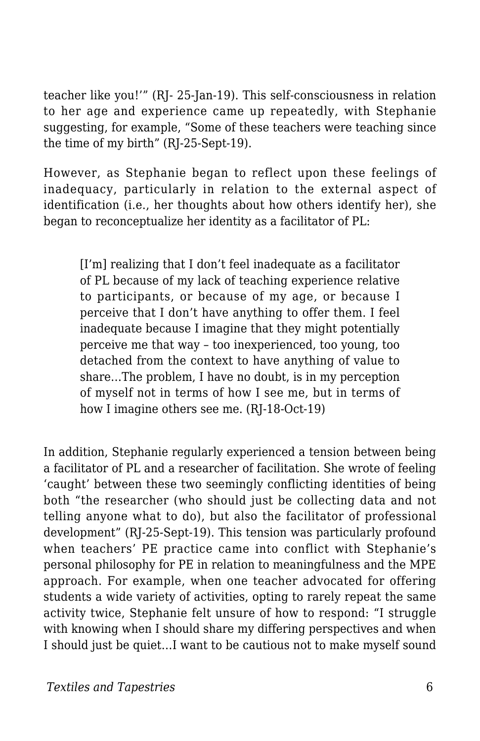teacher like you!'" (RJ- 25-Jan-19). This self-consciousness in relation to her age and experience came up repeatedly, with Stephanie suggesting, for example, "Some of these teachers were teaching since the time of my birth" (RJ-25-Sept-19).

However, as Stephanie began to reflect upon these feelings of inadequacy, particularly in relation to the external aspect of identification (i.e., her thoughts about how others identify her), she began to reconceptualize her identity as a facilitator of PL:

[I'm] realizing that I don't feel inadequate as a facilitator of PL because of my lack of teaching experience relative to participants, or because of my age, or because I perceive that I don't have anything to offer them. I feel inadequate because I imagine that they might potentially perceive me that way – too inexperienced, too young, too detached from the context to have anything of value to share…The problem, I have no doubt, is in my perception of myself not in terms of how I see me, but in terms of how I imagine others see me. (RJ-18-Oct-19)

In addition, Stephanie regularly experienced a tension between being a facilitator of PL and a researcher of facilitation. She wrote of feeling 'caught' between these two seemingly conflicting identities of being both "the researcher (who should just be collecting data and not telling anyone what to do), but also the facilitator of professional development" (RJ-25-Sept-19). This tension was particularly profound when teachers' PE practice came into conflict with Stephanie's personal philosophy for PE in relation to meaningfulness and the MPE approach. For example, when one teacher advocated for offering students a wide variety of activities, opting to rarely repeat the same activity twice, Stephanie felt unsure of how to respond: "I struggle with knowing when I should share my differing perspectives and when I should just be quiet…I want to be cautious not to make myself sound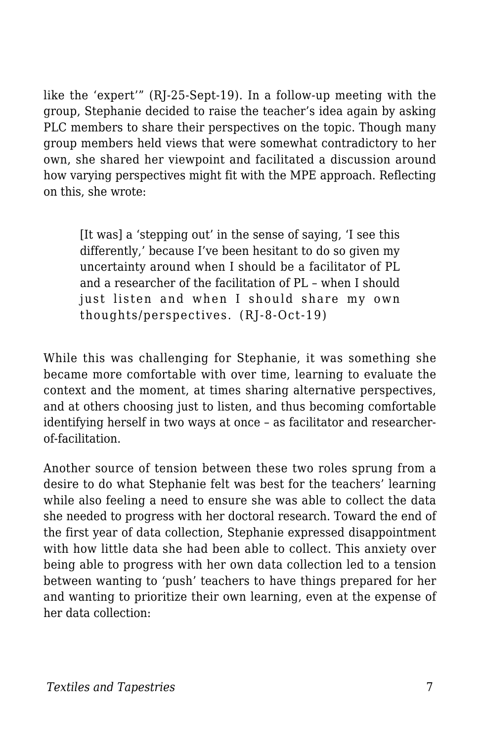like the 'expert'" (RJ-25-Sept-19). In a follow-up meeting with the group, Stephanie decided to raise the teacher's idea again by asking PLC members to share their perspectives on the topic. Though many group members held views that were somewhat contradictory to her own, she shared her viewpoint and facilitated a discussion around how varying perspectives might fit with the MPE approach. Reflecting on this, she wrote:

[It was] a 'stepping out' in the sense of saying, 'I see this differently,' because I've been hesitant to do so given my uncertainty around when I should be a facilitator of PL and a researcher of the facilitation of PL – when I should just listen and when I should share my own thoughts/perspectives. (RJ-8-Oct-19)

While this was challenging for Stephanie, it was something she became more comfortable with over time, learning to evaluate the context and the moment, at times sharing alternative perspectives, and at others choosing just to listen, and thus becoming comfortable identifying herself in two ways at once – as facilitator and researcherof-facilitation.

Another source of tension between these two roles sprung from a desire to do what Stephanie felt was best for the teachers' learning while also feeling a need to ensure she was able to collect the data she needed to progress with her doctoral research. Toward the end of the first year of data collection, Stephanie expressed disappointment with how little data she had been able to collect. This anxiety over being able to progress with her own data collection led to a tension between wanting to 'push' teachers to have things prepared for her and wanting to prioritize their own learning, even at the expense of her data collection: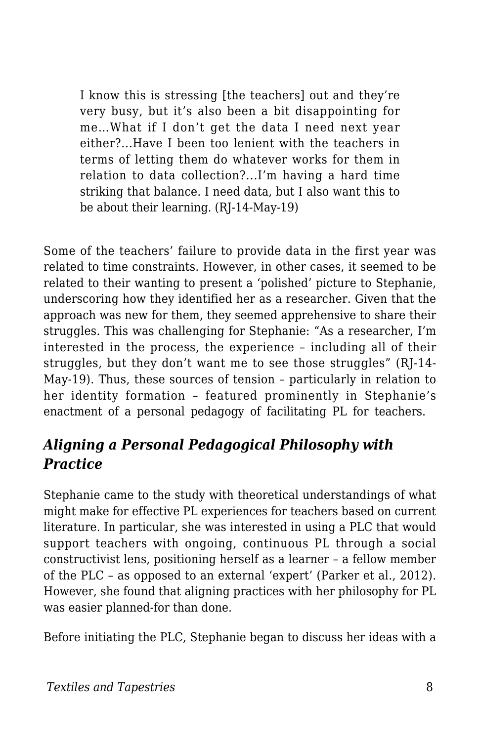I know this is stressing [the teachers] out and they're very busy, but it's also been a bit disappointing for me…What if I don't get the data I need next year either?...Have I been too lenient with the teachers in terms of letting them do whatever works for them in relation to data collection?...I'm having a hard time striking that balance. I need data, but I also want this to be about their learning. (RJ-14-May-19)

Some of the teachers' failure to provide data in the first year was related to time constraints. However, in other cases, it seemed to be related to their wanting to present a 'polished' picture to Stephanie, underscoring how they identified her as a researcher. Given that the approach was new for them, they seemed apprehensive to share their struggles. This was challenging for Stephanie: "As a researcher, I'm interested in the process, the experience – including all of their struggles, but they don't want me to see those struggles" (RJ-14- May-19). Thus, these sources of tension – particularly in relation to her identity formation – featured prominently in Stephanie's enactment of a personal pedagogy of facilitating PL for teachers.

#### *Aligning a Personal Pedagogical Philosophy with Practice*

Stephanie came to the study with theoretical understandings of what might make for effective PL experiences for teachers based on current literature. In particular, she was interested in using a PLC that would support teachers with ongoing, continuous PL through a social constructivist lens, positioning herself as a learner – a fellow member of the PLC – as opposed to an external 'expert' (Parker et al., 2012). However, she found that aligning practices with her philosophy for PL was easier planned-for than done.

Before initiating the PLC, Stephanie began to discuss her ideas with a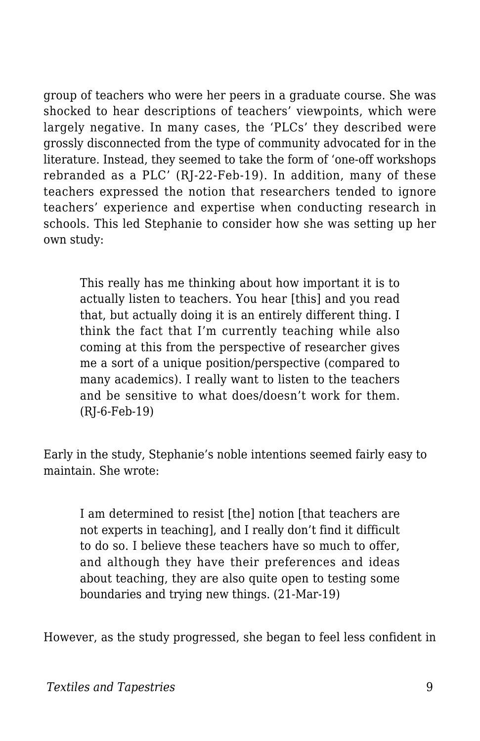group of teachers who were her peers in a graduate course. She was shocked to hear descriptions of teachers' viewpoints, which were largely negative. In many cases, the 'PLCs' they described were grossly disconnected from the type of community advocated for in the literature. Instead, they seemed to take the form of 'one-off workshops rebranded as a PLC' (RJ-22-Feb-19). In addition, many of these teachers expressed the notion that researchers tended to ignore teachers' experience and expertise when conducting research in schools. This led Stephanie to consider how she was setting up her own study:

This really has me thinking about how important it is to actually listen to teachers. You hear [this] and you read that, but actually doing it is an entirely different thing. I think the fact that I'm currently teaching while also coming at this from the perspective of researcher gives me a sort of a unique position/perspective (compared to many academics). I really want to listen to the teachers and be sensitive to what does/doesn't work for them. (RJ-6-Feb-19)

Early in the study, Stephanie's noble intentions seemed fairly easy to maintain. She wrote:

I am determined to resist [the] notion [that teachers are not experts in teaching], and I really don't find it difficult to do so. I believe these teachers have so much to offer, and although they have their preferences and ideas about teaching, they are also quite open to testing some boundaries and trying new things. (21-Mar-19)

However, as the study progressed, she began to feel less confident in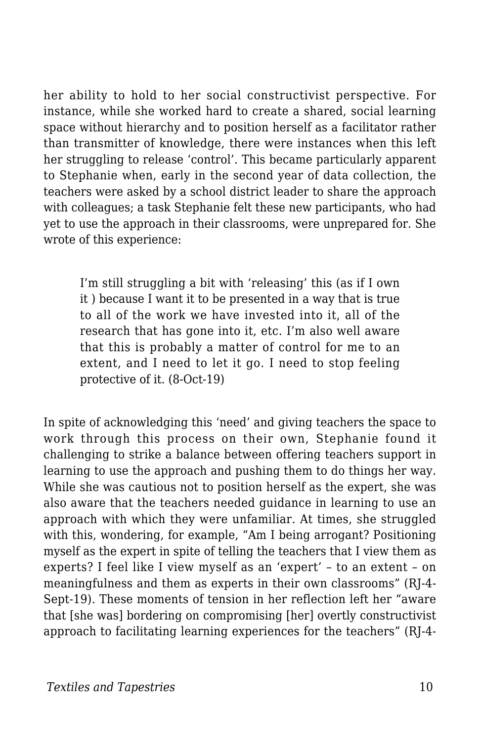her ability to hold to her social constructivist perspective. For instance, while she worked hard to create a shared, social learning space without hierarchy and to position herself as a facilitator rather than transmitter of knowledge, there were instances when this left her struggling to release 'control'. This became particularly apparent to Stephanie when, early in the second year of data collection, the teachers were asked by a school district leader to share the approach with colleagues; a task Stephanie felt these new participants, who had yet to use the approach in their classrooms, were unprepared for. She wrote of this experience:

I'm still struggling a bit with 'releasing' this (as if I own it ) because I want it to be presented in a way that is true to all of the work we have invested into it, all of the research that has gone into it, etc. I'm also well aware that this is probably a matter of control for me to an extent, and I need to let it go. I need to stop feeling protective of it. (8-Oct-19)

In spite of acknowledging this 'need' and giving teachers the space to work through this process on their own, Stephanie found it challenging to strike a balance between offering teachers support in learning to use the approach and pushing them to do things her way. While she was cautious not to position herself as the expert, she was also aware that the teachers needed guidance in learning to use an approach with which they were unfamiliar. At times, she struggled with this, wondering, for example, "Am I being arrogant? Positioning myself as the expert in spite of telling the teachers that I view them as experts? I feel like I view myself as an 'expert' – to an extent – on meaningfulness and them as experts in their own classrooms" (RJ-4- Sept-19). These moments of tension in her reflection left her "aware that [she was] bordering on compromising [her] overtly constructivist approach to facilitating learning experiences for the teachers" (RJ-4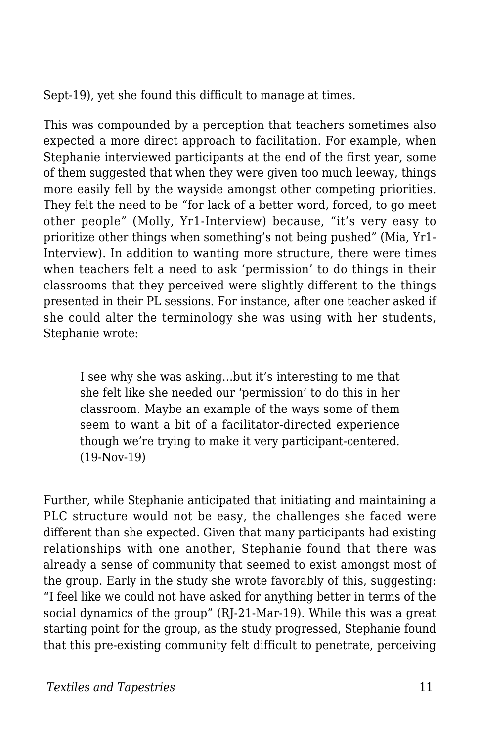Sept-19), yet she found this difficult to manage at times.

This was compounded by a perception that teachers sometimes also expected a more direct approach to facilitation. For example, when Stephanie interviewed participants at the end of the first year, some of them suggested that when they were given too much leeway, things more easily fell by the wayside amongst other competing priorities. They felt the need to be "for lack of a better word, forced, to go meet other people" (Molly, Yr1-Interview) because, "it's very easy to prioritize other things when something's not being pushed" (Mia, Yr1- Interview). In addition to wanting more structure, there were times when teachers felt a need to ask 'permission' to do things in their classrooms that they perceived were slightly different to the things presented in their PL sessions. For instance, after one teacher asked if she could alter the terminology she was using with her students, Stephanie wrote:

I see why she was asking…but it's interesting to me that she felt like she needed our 'permission' to do this in her classroom. Maybe an example of the ways some of them seem to want a bit of a facilitator-directed experience though we're trying to make it very participant-centered. (19-Nov-19)

Further, while Stephanie anticipated that initiating and maintaining a PLC structure would not be easy, the challenges she faced were different than she expected. Given that many participants had existing relationships with one another, Stephanie found that there was already a sense of community that seemed to exist amongst most of the group. Early in the study she wrote favorably of this, suggesting: "I feel like we could not have asked for anything better in terms of the social dynamics of the group" (RJ-21-Mar-19). While this was a great starting point for the group, as the study progressed, Stephanie found that this pre-existing community felt difficult to penetrate, perceiving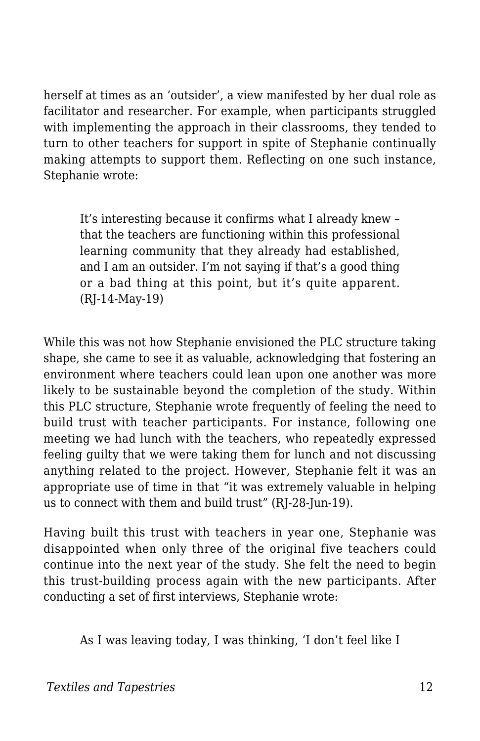herself at times as an 'outsider', a view manifested by her dual role as facilitator and researcher. For example, when participants struggled with implementing the approach in their classrooms, they tended to turn to other teachers for support in spite of Stephanie continually making attempts to support them. Reflecting on one such instance, Stephanie wrote:

It's interesting because it confirms what I already knew – that the teachers are functioning within this professional learning community that they already had established, and I am an outsider. I'm not saying if that's a good thing or a bad thing at this point, but it's quite apparent. (RJ-14-May-19)

While this was not how Stephanie envisioned the PLC structure taking shape, she came to see it as valuable, acknowledging that fostering an environment where teachers could lean upon one another was more likely to be sustainable beyond the completion of the study. Within this PLC structure, Stephanie wrote frequently of feeling the need to build trust with teacher participants. For instance, following one meeting we had lunch with the teachers, who repeatedly expressed feeling guilty that we were taking them for lunch and not discussing anything related to the project. However, Stephanie felt it was an appropriate use of time in that "it was extremely valuable in helping us to connect with them and build trust" (RJ-28-Jun-19).

Having built this trust with teachers in year one, Stephanie was disappointed when only three of the original five teachers could continue into the next year of the study. She felt the need to begin this trust-building process again with the new participants. After conducting a set of first interviews, Stephanie wrote:

As I was leaving today, I was thinking, 'I don't feel like I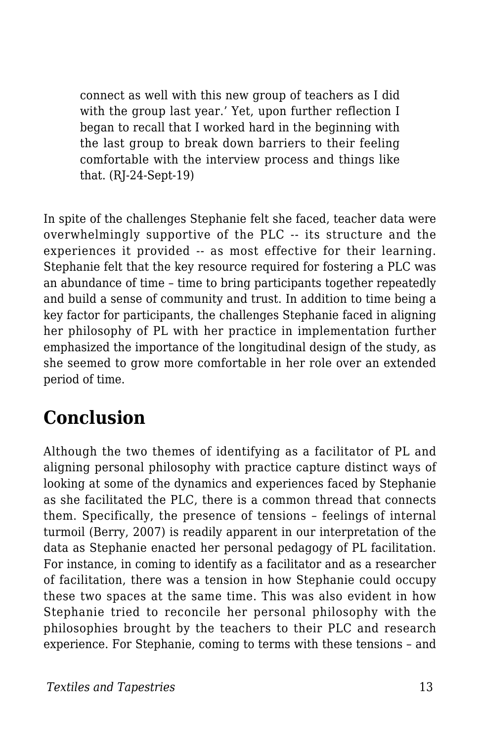connect as well with this new group of teachers as I did with the group last year.' Yet, upon further reflection I began to recall that I worked hard in the beginning with the last group to break down barriers to their feeling comfortable with the interview process and things like that. (RJ-24-Sept-19)

In spite of the challenges Stephanie felt she faced, teacher data were overwhelmingly supportive of the PLC -- its structure and the experiences it provided -- as most effective for their learning. Stephanie felt that the key resource required for fostering a PLC was an abundance of time – time to bring participants together repeatedly and build a sense of community and trust. In addition to time being a key factor for participants, the challenges Stephanie faced in aligning her philosophy of PL with her practice in implementation further emphasized the importance of the longitudinal design of the study, as she seemed to grow more comfortable in her role over an extended period of time.

### **Conclusion**

Although the two themes of identifying as a facilitator of PL and aligning personal philosophy with practice capture distinct ways of looking at some of the dynamics and experiences faced by Stephanie as she facilitated the PLC, there is a common thread that connects them. Specifically, the presence of tensions – feelings of internal turmoil (Berry, 2007) is readily apparent in our interpretation of the data as Stephanie enacted her personal pedagogy of PL facilitation. For instance, in coming to identify as a facilitator and as a researcher of facilitation, there was a tension in how Stephanie could occupy these two spaces at the same time. This was also evident in how Stephanie tried to reconcile her personal philosophy with the philosophies brought by the teachers to their PLC and research experience. For Stephanie, coming to terms with these tensions – and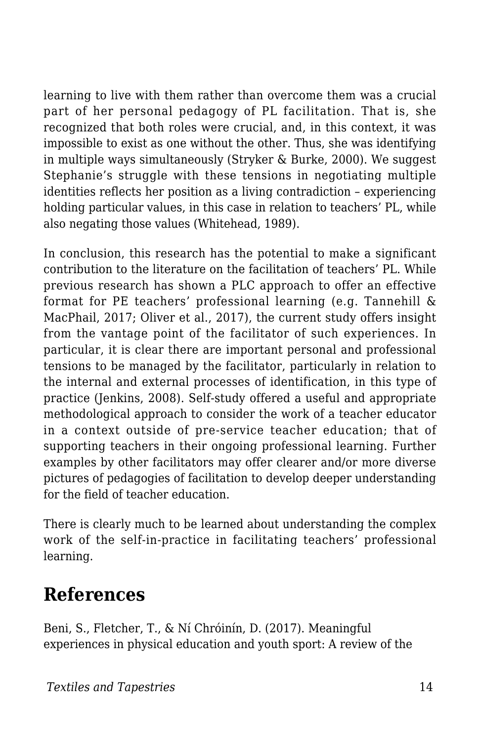learning to live with them rather than overcome them was a crucial part of her personal pedagogy of PL facilitation. That is, she recognized that both roles were crucial, and, in this context, it was impossible to exist as one without the other. Thus, she was identifying in multiple ways simultaneously (Stryker & Burke, 2000). We suggest Stephanie's struggle with these tensions in negotiating multiple identities reflects her position as a living contradiction – experiencing holding particular values, in this case in relation to teachers' PL, while also negating those values (Whitehead, 1989).

In conclusion, this research has the potential to make a significant contribution to the literature on the facilitation of teachers' PL. While previous research has shown a PLC approach to offer an effective format for PE teachers' professional learning (e.g. Tannehill & MacPhail, 2017; Oliver et al., 2017), the current study offers insight from the vantage point of the facilitator of such experiences. In particular, it is clear there are important personal and professional tensions to be managed by the facilitator, particularly in relation to the internal and external processes of identification, in this type of practice (Jenkins, 2008). Self-study offered a useful and appropriate methodological approach to consider the work of a teacher educator in a context outside of pre-service teacher education; that of supporting teachers in their ongoing professional learning. Further examples by other facilitators may offer clearer and/or more diverse pictures of pedagogies of facilitation to develop deeper understanding for the field of teacher education.

There is clearly much to be learned about understanding the complex work of the self-in-practice in facilitating teachers' professional learning.

### **References**

Beni, S., Fletcher, T., & Ní Chróinín, D. (2017). Meaningful experiences in physical education and youth sport: A review of the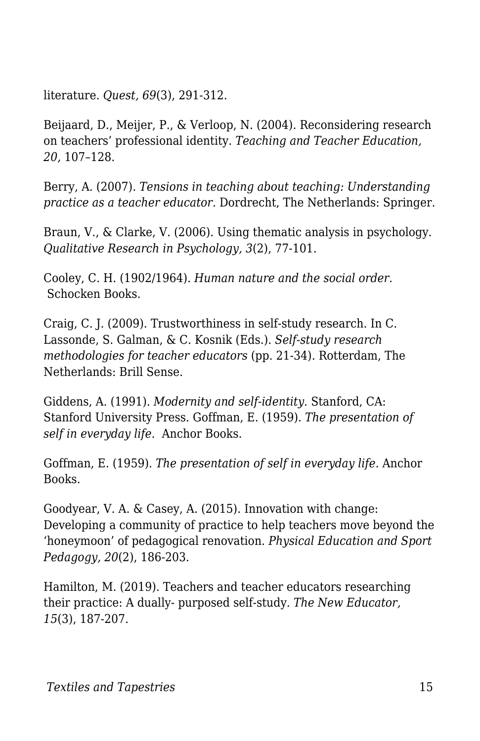literature. *Quest, 69*(3), 291-312.

Beijaard, D., Meijer, P., & Verloop, N. (2004). Reconsidering research on teachers' professional identity. *Teaching and Teacher Education, 20,* 107–128.

Berry, A. (2007). *Tensions in teaching about teaching: Understanding practice as a teacher educator*. Dordrecht, The Netherlands: Springer.

Braun, V., & Clarke, V. (2006). Using thematic analysis in psychology. *Qualitative Research in Psychology, 3*(2), 77-101.

Cooley, C. H. (1902/1964). *Human nature and the social order.* Schocken Books.

Craig, C. J. (2009). Trustworthiness in self-study research. In C. Lassonde, S. Galman, & C. Kosnik (Eds.). *Self-study research methodologies for teacher educators* (pp. 21-34). Rotterdam, The Netherlands: Brill Sense.

Giddens, A. (1991). *Modernity and self-identity.* Stanford, CA: Stanford University Press. Goffman, E. (1959). *The presentation of self in everyday life.* Anchor Books.

Goffman, E. (1959). *The presentation of self in everyday life.* Anchor Books.

Goodyear, V. A. & Casey, A. (2015). Innovation with change: Developing a community of practice to help teachers move beyond the 'honeymoon' of pedagogical renovation. *Physical Education and Sport Pedagogy, 20*(2), 186-203.

Hamilton, M. (2019). Teachers and teacher educators researching their practice: A dually- purposed self-study. *The New Educator, 15*(3), 187-207.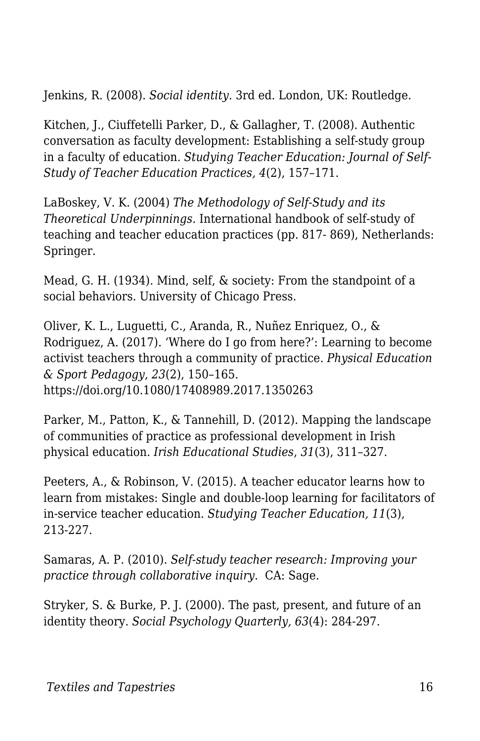Jenkins, R. (2008). *Social identity.* 3rd ed. London, UK: Routledge.

Kitchen, J., Ciuffetelli Parker, D., & Gallagher, T. (2008). Authentic conversation as faculty development: Establishing a self-study group in a faculty of education. *Studying Teacher Education: Journal of Self-Study of Teacher Education Practices, 4*(2), 157–171.

LaBoskey, V. K. (2004) *The Methodology of Self-Study and its Theoretical Underpinnings.* International handbook of self-study of teaching and teacher education practices (pp. 817- 869), Netherlands: Springer.

Mead, G. H. (1934). Mind, self, & society: From the standpoint of a social behaviors. University of Chicago Press.

Oliver, K. L., Luguetti, C., Aranda, R., Nuñez Enriquez, O., & Rodriguez, A. (2017). 'Where do I go from here?': Learning to become activist teachers through a community of practice. *Physical Education & Sport Pedagogy*, *23*(2), 150–165. https://doi.org/10.1080/17408989.2017.1350263

Parker, M., Patton, K., & Tannehill, D. (2012). Mapping the landscape of communities of practice as professional development in Irish physical education. *Irish Educational Studies*, *31*(3), 311–327.

Peeters, A., & Robinson, V. (2015). A teacher educator learns how to learn from mistakes: Single and double-loop learning for facilitators of in-service teacher education. *Studying Teacher Education, 11*(3), 213-227.

Samaras, A. P. (2010). *Self-study teacher research: Improving your practice through collaborative inquiry*. CA: Sage.

Stryker, S. & Burke, P. J. (2000). The past, present, and future of an identity theory. *Social Psychology Quarterly, 63*(4): 284-297.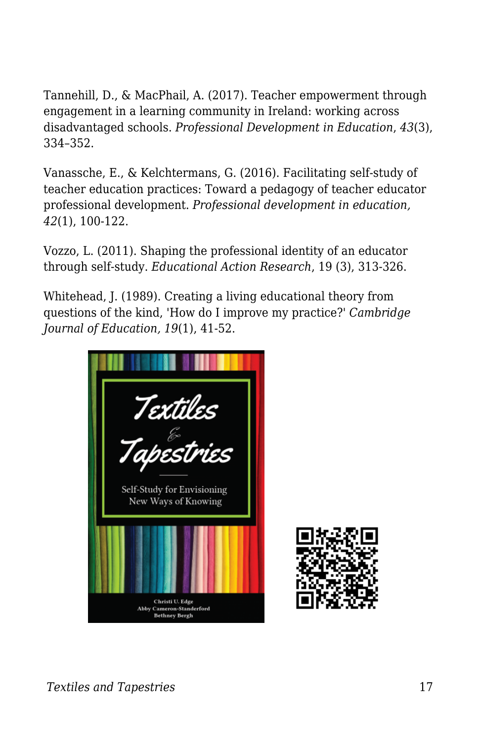Tannehill, D., & MacPhail, A. (2017). Teacher empowerment through engagement in a learning community in Ireland: working across disadvantaged schools. *Professional Development in Education*, *43*(3), 334–352.

Vanassche, E., & Kelchtermans, G. (2016). Facilitating self-study of teacher education practices: Toward a pedagogy of teacher educator professional development. *Professional development in education, 42*(1), 100-122.

Vozzo, L. (2011). Shaping the professional identity of an educator through self-study. *Educational Action Research*, 19 (3), 313-326.

Whitehead, J. (1989). Creating a living educational theory from questions of the kind, 'How do I improve my practice?' *Cambridge Journal of Education, 19*(1), 41-52.